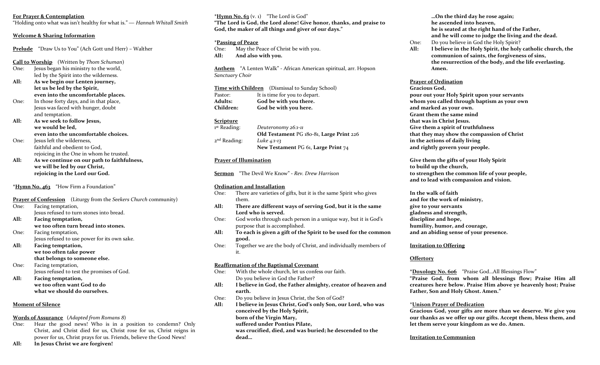## **For Prayer & Contemplation**

"Holding onto what was isn't healthy for what is." ― *Hannah Whitall Smith*

#### **Welcome & Sharing Information**

**Prelude** "Draw Us to You" (Ach Gott und Herr) – Walther

**Call to Worship** (Written by *Thom Schuman*)

- One: Jesus began his ministry to the world, led by the Spirit into the wilderness.
- **All: As we begin our Lenten journey, let us be led by the Spirit, even into the uncomfortable places.**
- One: In those forty days, and in that place, Jesus was faced with hunger, doubt and temptation.
- **All: As we seek to follow Jesus, we would be led, even into the uncomfortable choices.**
- One: Jesus left the wilderness, faithful and obedient to God, rejoicing in the One in whom he trusted.
- **All: As we continue on our path to faithfulness, we will be led by our Christ, rejoicing in the Lord our God.**

**\*Hymn No. 463** "How Firm a Foundation"

**Prayer of Confession** (Liturgy from the *Seekers Church* community)

- One: Facing temptation, Jesus refused to turn stones into bread. **All: Facing temptation,**
- **we too often turn bread into stones.**
- One: Facing temptation, Jesus refused to use power for its own sake.
- **All: Facing temptation, we too often take power that belongs to someone else.**
- One: Facing temptation, Jesus refused to test the promises of God.
- **All: Facing temptation, we too often want God to do what we should do ourselves.**

# **Moment of Silence**

#### **Words of Assurance** (*Adapted from Romans 8*)

One: Hear the good news! Who is in a position to condemn? Only Christ, and Christ died for us, Christ rose for us, Christ reigns in power for us, Christ prays for us. Friends, believe the Good News!

**All: In Jesus Christ we are forgiven!**

 $*$ **Hymn No. 63** (v. 1) "The Lord is God" **"The Lord is God, the Lord alone! Give honor, thanks, and praise to God, the maker of all things and giver of our days."**

#### **\*Passing of Peace**

One: May the Peace of Christ be with you. **All: And also with you.** 

**Anthem** "A Lenten Walk" - African American spiritual, arr. Hopson *Sanctuary Choir*

**Time with Children** (Dismissal to Sunday School) Pastor: It is time for you to depart. **Adults: God be with you there. Children: God be with you here.**

#### **Scripture**

| Deuteronomy 26:1-11                      |  |
|------------------------------------------|--|
| Old Testament PG 180-81, Large Print 226 |  |
| Luke 4:1-13                              |  |
| New Testament PG 61, Large Print 74      |  |
|                                          |  |

#### **Prayer of Illumination**

**Sermon** "The Devil We Know" **-** *Rev. Drew Harrison*

#### **Ordination and Installation**

- One: There are varieties of gifts, but it is the same Spirit who gives them.
- **All: There are different ways of serving God, but it is the same Lord who is served.**
- One: God works through each person in a unique way, but it is God's purpose that is accomplished.
- **All: To each is given a gift of the Spirit to be used for the common good.**
- One: Together we are the body of Christ, and individually members of it.

## **Reaffirmation of the Baptismal Covenant**

- One: With the whole church, let us confess our faith. Do you believe in God the Father?
- **All: I believe in God, the Father almighty, creator of heaven and earth.**
- One: Do you believe in Jesus Christ, the Son of God?
- **All: I believe in Jesus Christ, God's only Son, our Lord, who was conceived by the Holy Spirit, born of the Virgin Mary,**
	- **suffered under Pontius Pilate,**

**was crucified, died, and was buried; he descended to the dead…**

**…On the third day he rose again; he ascended into heaven, he is seated at the right hand of the Father, and he will come to judge the living and the dead.** 

- One: Do you believe in God the Holy Spirit?
- **All: I believe in the Holy Spirit, the holy catholic church, the communion of saints, the forgiveness of sins, the resurrection of the body, and the life everlasting. Amen.**

## **Prayer of Ordination**

**Gracious God, pour out your Holy Spirit upon your servants whom you called through baptism as your own and marked as your own. Grant them the same mind that was in Christ Jesus. Give them a spirit of truthfulness that they may show the compassion of Christ in the actions of daily living and rightly govern your people.** 

**Give them the gifts of your Holy Spirit to build up the church, to strengthen the common life of your people, and to lead with compassion and vision.** 

**In the walk of faith and for the work of ministry, give to your servants gladness and strength, discipline and hope, humility, humor, and courage, and an abiding sense of your presence.** 

## **Invitation to Offering**

# **Offertory**

**\*Doxology No. 606** "Praise God…All Blessings Flow"

**"Praise God, from whom all blessings flow; Praise Him all creatures here below. Praise Him above ye heavenly host; Praise Father, Son and Holy Ghost. Amen."**

## \***Unison Prayer of Dedication**

**Gracious God, your gifts are more than we deserve. We give you our thanks as we offer up our gifts. Accept them, bless them, and let them serve your kingdom as we do. Amen.** 

#### **Invitation to Communion**